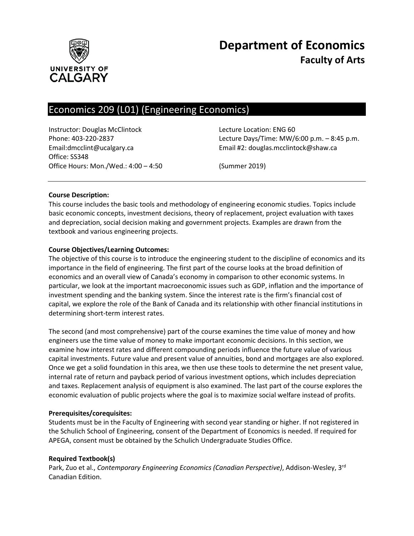

# **Department of Economics Faculty of Arts**

# Economics 209 (L01) (Engineering Economics)

Instructor: Douglas McClintock Lecture Location: ENG 60 Office: SS348 Office Hours: Mon./Wed.: 4:00 – 4:50 (Summer 2019)

Phone: 403-220-2837 Lecture Days/Time: MW/6:00 p.m. – 8:45 p.m. Email:dmcclint@ucalgary.ca Email #2: douglas.mcclintock@shaw.ca

## **Course Description:**

This course includes the basic tools and methodology of engineering economic studies. Topics include basic economic concepts, investment decisions, theory of replacement, project evaluation with taxes and depreciation, social decision making and government projects. Examples are drawn from the textbook and various engineering projects.

# **Course Objectives/Learning Outcomes:**

The objective of this course is to introduce the engineering student to the discipline of economics and its importance in the field of engineering. The first part of the course looks at the broad definition of economics and an overall view of Canada's economy in comparison to other economic systems. In particular, we look at the important macroeconomic issues such as GDP, inflation and the importance of investment spending and the banking system. Since the interest rate is the firm's financial cost of capital, we explore the role of the Bank of Canada and its relationship with other financial institutions in determining short-term interest rates.

The second (and most comprehensive) part of the course examines the time value of money and how engineers use the time value of money to make important economic decisions. In this section, we examine how interest rates and different compounding periods influence the future value of various capital investments. Future value and present value of annuities, bond and mortgages are also explored. Once we get a solid foundation in this area, we then use these tools to determine the net present value, internal rate of return and payback period of various investment options, which includes depreciation and taxes. Replacement analysis of equipment is also examined. The last part of the course explores the economic evaluation of public projects where the goal is to maximize social welfare instead of profits.

## **Prerequisites/corequisites:**

Students must be in the Faculty of Engineering with second year standing or higher. If not registered in the Schulich School of Engineering, consent of the Department of Economics is needed. If required for APEGA, consent must be obtained by the Schulich Undergraduate Studies Office.

## **Required Textbook(s)**

Park, Zuo et al., *Contemporary Engineering Economics (Canadian Perspective)*, Addison-Wesley, 3rd Canadian Edition.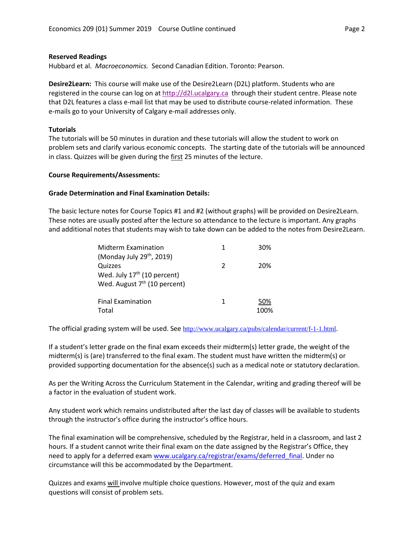#### **Reserved Readings**

Hubbard et al. *Macroeconomics.* Second Canadian Edition. Toronto: Pearson.

**Desire2Learn:** This course will make use of the Desire2Learn (D2L) platform. Students who are registered in the course can log on at [http://d2l.ucalgary.ca](http://d2l.ucalgary.ca/) through their student centre. Please note that D2L features a class e-mail list that may be used to distribute course-related information. These e-mails go to your University of Calgary e-mail addresses only.

#### **Tutorials**

The tutorials will be 50 minutes in duration and these tutorials will allow the student to work on problem sets and clarify various economic concepts. The starting date of the tutorials will be announced in class. Quizzes will be given during the first 25 minutes of the lecture.

#### **Course Requirements/Assessments:**

#### **Grade Determination and Final Examination Details:**

The basic lecture notes for Course Topics #1 and #2 (without graphs) will be provided on Desire2Learn. These notes are usually posted after the lecture so attendance to the lecture is important. Any graphs and additional notes that students may wish to take down can be added to the notes from Desire2Learn.

| <b>Midterm Examination</b>               | 1             | 30%  |
|------------------------------------------|---------------|------|
| (Monday July 29 <sup>th</sup> , 2019)    |               |      |
| Quizzes                                  | $\mathcal{P}$ | 20%  |
| Wed. July 17 <sup>th</sup> (10 percent)  |               |      |
| Wed. August 7 <sup>th</sup> (10 percent) |               |      |
| <b>Final Examination</b>                 | 1             | 50%  |
| Total                                    |               | 100% |

The official grading system will be used. See <http://www.ucalgary.ca/pubs/calendar/current/f-1-1.html>.

If a student's letter grade on the final exam exceeds their midterm(s) letter grade, the weight of the midterm(s) is (are) transferred to the final exam. The student must have written the midterm(s) or provided supporting documentation for the absence(s) such as a medical note or statutory declaration.

As per the Writing Across the Curriculum Statement in the Calendar, writing and grading thereof will be a factor in the evaluation of student work.

Any student work which remains undistributed after the last day of classes will be available to students through the instructor's office during the instructor's office hours.

The final examination will be comprehensive, scheduled by the Registrar, held in a classroom, and last 2 hours. If a student cannot write their final exam on the date assigned by the Registrar's Office, they need to apply for a deferred exam www.ucalgary.ca/registrar/exams/deferred final. Under no circumstance will this be accommodated by the Department.

Quizzes and exams will involve multiple choice questions. However, most of the quiz and exam questions will consist of problem sets.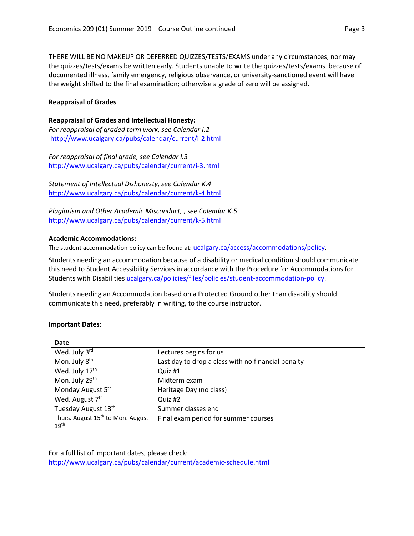THERE WILL BE NO MAKEUP OR DEFERRED QUIZZES/TESTS/EXAMS under any circumstances, nor may the quizzes/tests/exams be written early. Students unable to write the quizzes/tests/exams because of documented illness, family emergency, religious observance, or university-sanctioned event will have the weight shifted to the final examination; otherwise a grade of zero will be assigned.

## **Reappraisal of Grades**

**Reappraisal of Grades and Intellectual Honesty:** *For reappraisal of graded term work, see Calendar I.2* <http://www.ucalgary.ca/pubs/calendar/current/i-2.html>

*For reappraisal of final grade, see Calendar I.3* <http://www.ucalgary.ca/pubs/calendar/current/i-3.html>

*Statement of Intellectual Dishonesty, see Calendar K.4* <http://www.ucalgary.ca/pubs/calendar/current/k-4.html>

*Plagiarism and Other Academic Misconduct, , see Calendar K.5* <http://www.ucalgary.ca/pubs/calendar/current/k-5.html>

#### **Academic Accommodations:**

The student accommodation policy can be found at: [ucalgary.ca/access/accommodations/policy.](http://www.ucalgary.ca/access/accommodations/policy)

Students needing an accommodation because of a disability or medical condition should communicate this need to Student Accessibility Services in accordance with the Procedure for Accommodations for Students with Disabilities [ucalgary.ca/policies/files/policies/student-accommodation-policy.](http://www.ucalgary.ca/policies/files/policies/student-accommodation-policy.pdf)

Students needing an Accommodation based on a Protected Ground other than disability should communicate this need, preferably in writing, to the course instructor.

| Date                                                              |                                                    |
|-------------------------------------------------------------------|----------------------------------------------------|
| Wed. July 3rd                                                     | Lectures begins for us                             |
| Mon. July 8 <sup>th</sup>                                         | Last day to drop a class with no financial penalty |
| Wed. July 17th                                                    | Quiz #1                                            |
| Mon. July 29th                                                    | Midterm exam                                       |
| Monday August 5 <sup>th</sup>                                     | Heritage Day (no class)                            |
| Wed. August 7 <sup>th</sup>                                       | Quiz #2                                            |
| Tuesday August 13th                                               | Summer classes end                                 |
| Thurs. August 15 <sup>th</sup> to Mon. August<br>19 <sup>th</sup> | Final exam period for summer courses               |

## **Important Dates:**

For a full list of important dates, please check: <http://www.ucalgary.ca/pubs/calendar/current/academic-schedule.html>